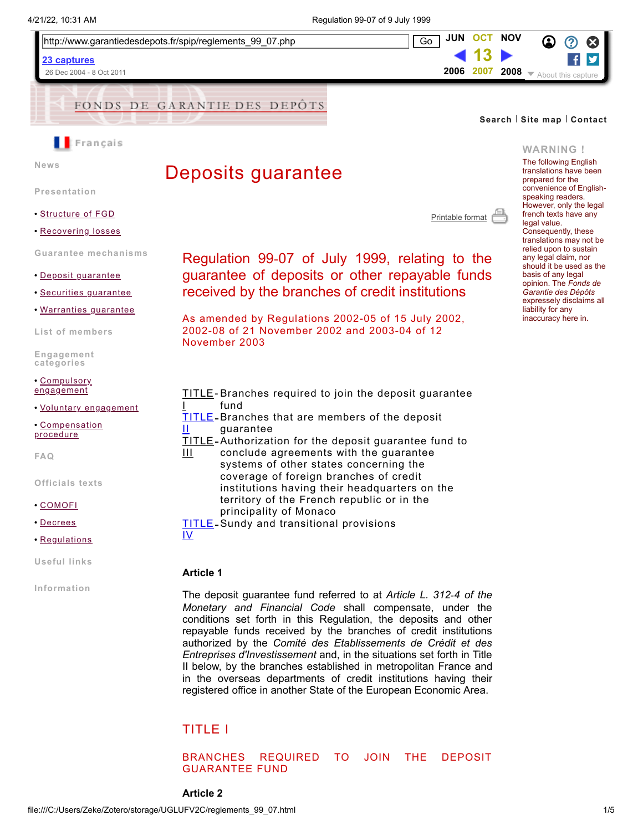



26 Dec 2004 - 8 Oct 2011





**[News](https://web.archive.org/web/20071013041000/http://www.garantiedesdepots.fr/spip/rubrique.php3?id_rubrique=14)**

# Deposits guarantee

**[Presentation](https://web.archive.org/web/20071013041000/http://www.garantiedesdepots.fr/spip/rubrique.php3?id_rubrique=15)**

- **•** [Structure](https://web.archive.org/web/20071013041000/http://www.garantiedesdepots.fr/spip/article.php3?id_article=46&id_rubrique=15) of FGD
- **•** [Recovering](https://web.archive.org/web/20071013041000/http://www.garantiedesdepots.fr/spip/article.php3?id_article=47&id_rubrique=15) losses

**Guarantee [mechanisms](https://web.archive.org/web/20071013041000/http://www.garantiedesdepots.fr/spip/rubrique.php3?id_rubrique=16)**

- **•** Deposit [guarantee](https://web.archive.org/web/20071013041000/http://www.garantiedesdepots.fr/spip/article.php3?id_article=48&id_rubrique=16)
- **•** Securities [guarantee](https://web.archive.org/web/20071013041000/http://www.garantiedesdepots.fr/spip/article.php3?id_article=49&id_rubrique=16)
- **•** [Warranties](https://web.archive.org/web/20071013041000/http://www.garantiedesdepots.fr/spip/article.php3?id_article=50&id_rubrique=16) guarantee

**List of [members](https://web.archive.org/web/20071013041000/http://www.garantiedesdepots.fr/spip/rubrique.php3?id_rubrique=17)**

**[Engagement](https://web.archive.org/web/20071013041000/http://www.garantiedesdepots.fr/spip/rubrique.php3?id_rubrique=18) categories**

**•** [Compulsory](https://web.archive.org/web/20071013041000/http://www.garantiedesdepots.fr/spip/article.php3?id_article=51&id_rubrique=18) engagement

**•** Voluntary [engagement](https://web.archive.org/web/20071013041000/http://www.garantiedesdepots.fr/spip/article.php3?id_article=52&id_rubrique=18)

**•** [Compensation](https://web.archive.org/web/20071013041000/http://www.garantiedesdepots.fr/spip/article.php3?id_article=53&id_rubrique=18) procedure

**[FAQ](https://web.archive.org/web/20071013041000/http://www.garantiedesdepots.fr/spip/rubrique.php3?id_rubrique=19)**

- **[Officials](https://web.archive.org/web/20071013041000/http://www.garantiedesdepots.fr/spip/rubrique.php3?id_rubrique=20) texts**
- **•** [COMOFI](https://web.archive.org/web/20071013041000/http://www.garantiedesdepots.fr/spip/article.php3?id_article=54&id_rubrique=20)
- **•** [Decrees](https://web.archive.org/web/20071013041000/http://www.garantiedesdepots.fr/spip/article.php3?id_article=55&id_rubrique=20)
- **•** [Regulations](https://web.archive.org/web/20071013041000/http://www.garantiedesdepots.fr/spip/article.php3?id_article=56&id_rubrique=20)

**[Useful](https://web.archive.org/web/20071013041000/http://www.garantiedesdepots.fr/spip/rubrique.php3?id_rubrique=21) links**

**[Information](https://web.archive.org/web/20071013041000/http://www.garantiedesdepots.fr/spip/rubrique.php3?id_rubrique=24)**

[Printable format](https://web.archive.org/web/20071013041000/http://www.garantiedesdepots.fr/spip/reglements_99_07.php?print=ok)

Regulation 99‑07 of July 1999, relating to the guarantee of deposits or other repayable funds received by the branches of credit institutions

As amended by Regulations 2002-05 of 15 July 2002, 2002-08 of 21 November 2002 and 2003-04 of 12 November 2003

- [TITLE](#page-0-0) Branches required to join the deposit guarantee I fund [TITLE](#page-1-0) -Branches that are members of the deposit II guarantee [TITLE](#page-3-0) -Authorization for the deposit guarantee fund to  $\overline{\mathsf{H}}$ conclude agreements with the guarantee systems of other states concerning the coverage of foreign branches of credit institutions having their headquarters on the
	- territory of the French republic or in the principality of Monaco
- [TITLE](#page-4-0) -Sundy and transitional provisions

IV

# **Article 1**

The deposit guarantee fund referred to at *Article L. 312‑4 of the Monetary and Financial Code* shall compensate, under the conditions set forth in this Regulation, the deposits and other repayable funds received by the branches of credit institutions authorized by the *Comité des Etablissements de Crédit et des Entreprises d'Investissement* and, in the situations set forth in Title II below, by the branches established in metropolitan France and in the overseas departments of credit institutions having their registered office in another State of the European Economic Area.

# <span id="page-0-0"></span>TITLE I

### BRANCHES REQUIRED TO JOIN THE DEPOSIT GUARANTEE FUND

# **WARNING !**

 $\circ$   $\circ$   $\circ$ f

▼ About this capture

**[Search](https://web.archive.org/web/20071013041000/http://www.garantiedesdepots.fr/spip/search.php3)** I **Site [map](https://web.archive.org/web/20071013041000/http://www.garantiedesdepots.fr/spip/site_map.php3)** I **[Contact](https://web.archive.org/web/20071013041000/mailto:contact@garantiedesdepots.fr)**

**[JUN](https://web.archive.org/web/20070623111047/http://www.garantiedesdepots.fr:80/spip/reglements_99_07.php) OCT [NOV](https://web.archive.org/web/20081113134616/http://www.garantiedesdepots.fr/spip/reglements_99_07.php) 13 [2006](https://web.archive.org/web/20060720193817/http://www.garantiedesdepots.fr:80/spip/reglements_99_07.php) 2007 [2008](https://web.archive.org/web/20081113134616/http://www.garantiedesdepots.fr/spip/reglements_99_07.php)**

> The following English translations have been prepared for the convenience of Englishspeaking readers. However, only the legal french texts have any legal value. Consequently, these translations may not be relied upon to sustain any legal claim, nor should it be used as the basis of any legal opinion. The *Fonds de Garantie des Dépôts* expressely disclaims all liability for any inaccuracy here in.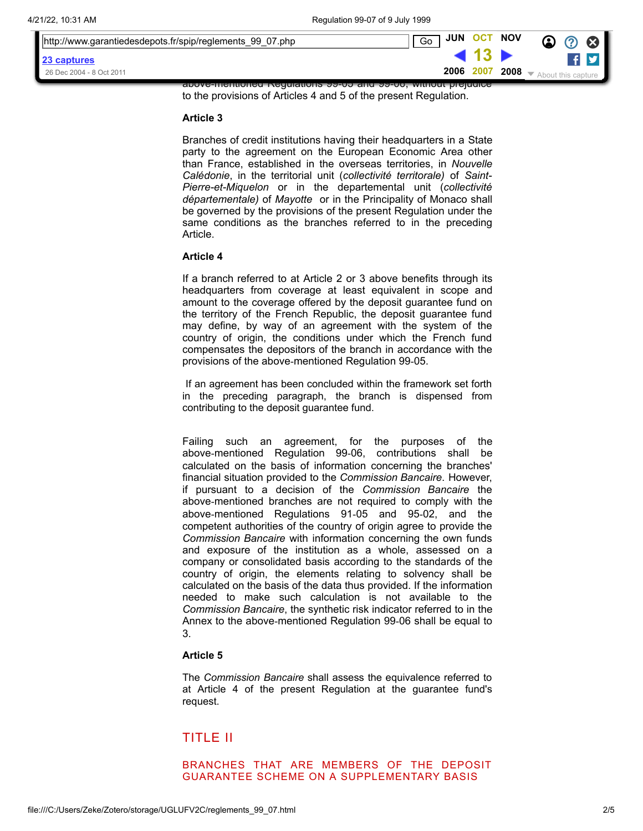| http://www.garantiedesdepots.fr/spip/reglements_99_07.php    | JUN OCT NOV<br>Go |                  | $\Omega$<br>U£. |  |
|--------------------------------------------------------------|-------------------|------------------|-----------------|--|
| 23 captures                                                  |                   |                  |                 |  |
| 26 Dec 2004 - 8 Oct 2011                                     | 2006 2007         | $^{\prime}$ 2008 |                 |  |
| above-memoned Regulations 99-09 and 99-00, without prejudice |                   |                  |                 |  |

to the provisions of Articles 4 and 5 of the present Regulation.

#### **Article 3**

Branches of credit institutions having their headquarters in a State party to the agreement on the European Economic Area other than France, established in the overseas territories, in *Nouvelle Calédonie*, in the territorial unit (*collectivité territorale)* of *Saint-Pierre-et-Miquelon* or in the departemental unit (*collectivité départementale)* of *Mayotte* or in the Principality of Monaco shall be governed by the provisions of the present Regulation under the same conditions as the branches referred to in the preceding Article.

#### **Article 4**

If a branch referred to at Article 2 or 3 above benefits through its headquarters from coverage at least equivalent in scope and amount to the coverage offered by the deposit guarantee fund on the territory of the French Republic, the deposit guarantee fund may define, by way of an agreement with the system of the country of origin, the conditions under which the French fund compensates the depositors of the branch in accordance with the provisions of the above‑mentioned Regulation 99‑05.

If an agreement has been concluded within the framework set forth in the preceding paragraph, the branch is dispensed from contributing to the deposit guarantee fund.

Failing such an agreement, for the purposes of the above‑mentioned Regulation 99‑06, contributions shall be calculated on the basis of information concerning the branches' financial situation provided to the *Commission Bancaire*. However, if pursuant to a decision of the *Commission Bancaire* the above-mentioned branches are not required to comply with the above‑mentioned Regulations 91‑05 and 95‑02, and the competent authorities of the country of origin agree to provide the *Commission Bancaire* with information concerning the own funds and exposure of the institution as a whole, assessed on a company or consolidated basis according to the standards of the country of origin, the elements relating to solvency shall be calculated on the basis of the data thus provided. If the information needed to make such calculation is not available to the *Commission Bancaire*, the synthetic risk indicator referred to in the Annex to the above‑mentioned Regulation 99‑06 shall be equal to 3.

### **Article 5**

The *Commission Bancaire* shall assess the equivalence referred to at Article 4 of the present Regulation at the guarantee fund's request.

# <span id="page-1-0"></span>TITLE II

BRANCHES THAT ARE MEMBERS OF THE DEPOSIT GUARANTEE SCHEME ON A SUPPLEMENTARY BASIS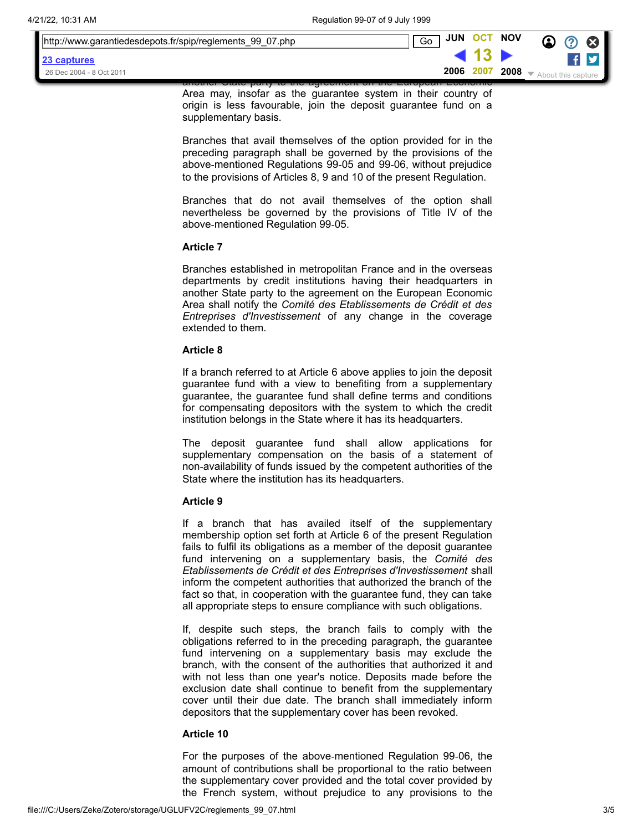| http://www.garantiedesdepots.fr/spip/reglements 99 07.php |  | <b>JUN</b><br>Go | <b>OCT</b> | <b>NOV</b> | $\Omega$<br>v. |
|-----------------------------------------------------------|--|------------------|------------|------------|----------------|
| 23 captures                                               |  |                  |            |            |                |
| 26 Dec 2004 - 8 Oct 2011                                  |  | 2006             | 2007       | 2008       |                |
| <del>T LUUINU</del>                                       |  |                  |            |            |                |

Area may, insofar as the guarantee system in their country of origin is less favourable, join the deposit guarantee fund on a supplementary basis.

Branches that avail themselves of the option provided for in the preceding paragraph shall be governed by the provisions of the above‑mentioned Regulations 99‑05 and 99‑06, without prejudice to the provisions of Articles 8, 9 and 10 of the present Regulation.

Branches that do not avail themselves of the option shall nevertheless be governed by the provisions of Title IV of the above‑mentioned Regulation 99‑05.

### **Article 7**

Branches established in metropolitan France and in the overseas departments by credit institutions having their headquarters in another State party to the agreement on the European Economic Area shall notify the *Comité des Etablissements de Crédit et des Entreprises d'Investissement* of any change in the coverage extended to them.

#### **Article 8**

If a branch referred to at Article 6 above applies to join the deposit guarantee fund with a view to benefiting from a supplementary guarantee, the guarantee fund shall define terms and conditions for compensating depositors with the system to which the credit institution belongs in the State where it has its headquarters.

The deposit guarantee fund shall allow applications for supplementary compensation on the basis of a statement of non‑availability of funds issued by the competent authorities of the State where the institution has its headquarters.

#### **Article 9**

If a branch that has availed itself of the supplementary membership option set forth at Article 6 of the present Regulation fails to fulfil its obligations as a member of the deposit guarantee fund intervening on a supplementary basis, the *Comité des Etablissements de Crédit et des Entreprises d'Investissement* shall inform the competent authorities that authorized the branch of the fact so that, in cooperation with the guarantee fund, they can take all appropriate steps to ensure compliance with such obligations.

If, despite such steps, the branch fails to comply with the obligations referred to in the preceding paragraph, the guarantee fund intervening on a supplementary basis may exclude the branch, with the consent of the authorities that authorized it and with not less than one year's notice. Deposits made before the exclusion date shall continue to benefit from the supplementary cover until their due date. The branch shall immediately inform depositors that the supplementary cover has been revoked.

#### **Article 10**

For the purposes of the above‑mentioned Regulation 99‑06, the amount of contributions shall be proportional to the ratio between the supplementary cover provided and the total cover provided by the French system, without prejudice to any provisions to the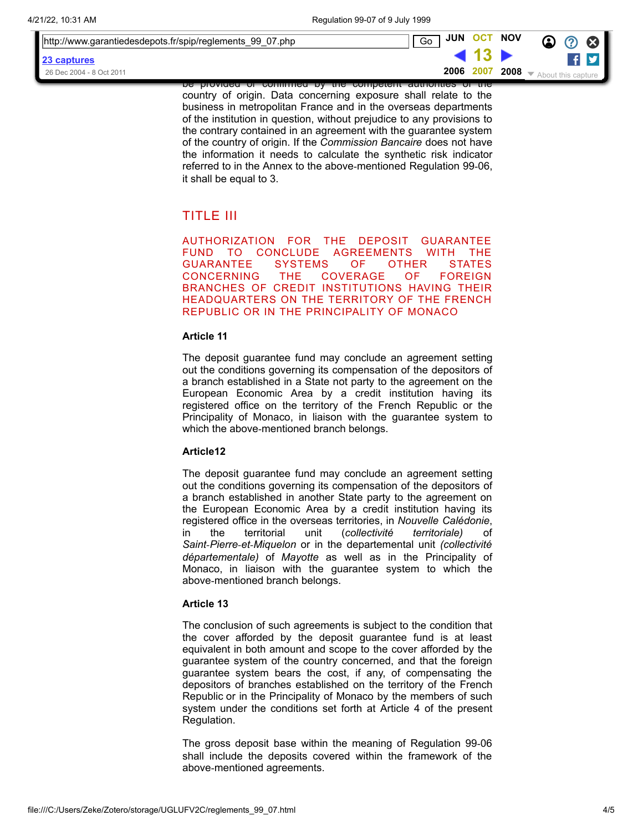| ■ http://www.garantiedesdepots.fr/spip/reglements 99 07.php | <b>JUN</b><br>Go | <b>OCT</b> | <b>NOV</b> | ☎<br>$\boldsymbol{\Omega}$ |
|-------------------------------------------------------------|------------------|------------|------------|----------------------------|
| 23 captures                                                 |                  |            |            |                            |
| 26 Dec 2004 - 8 Oct 2011                                    | 2006             | 2007       | 2008       |                            |

be provided or confirmed by the competent authorities of the country of origin. Data concerning exposure shall relate to the business in metropolitan France and in the overseas departments of the institution in question, without prejudice to any provisions to the contrary contained in an agreement with the guarantee system of the country of origin. If the *Commission Bancaire* does not have the information it needs to calculate the synthetic risk indicator referred to in the Annex to the above-mentioned Regulation 99-06, it shall be equal to 3.

# <span id="page-3-0"></span>TITLE III

AUTHORIZATION FOR THE DEPOSIT GUARANTEE FUND TO CONCLUDE AGREEMENTS WITH THE<br>GUARANTEE SYSTEMS OF OTHER STATES GUARANTEE SYSTEMS OF OTHER STATES CONCERNING THE COVERAGE OF FOREIGN BRANCHES OF CREDIT INSTITUTIONS HAVING THEIR HEADQUARTERS ON THE TERRITORY OF THE FRENCH REPUBLIC OR IN THE PRINCIPALITY OF MONACO

### **Article 11**

The deposit guarantee fund may conclude an agreement setting out the conditions governing its compensation of the depositors of a branch established in a State not party to the agreement on the European Economic Area by a credit institution having its registered office on the territory of the French Republic or the Principality of Monaco, in liaison with the guarantee system to which the above-mentioned branch belongs.

# **Article12**

The deposit guarantee fund may conclude an agreement setting out the conditions governing its compensation of the depositors of a branch established in another State party to the agreement on the European Economic Area by a credit institution having its registered office in the overseas territories, in *Nouvelle Calédonie*, in the territorial unit (*collectivité territoriale)* of *Saint‑Pierre‑et‑Miquelon* or in the departemental unit *(collectivité départementale)* of *Mayotte* as well as in the Principality of Monaco, in liaison with the guarantee system to which the above‑mentioned branch belongs.

# **Article 13**

The conclusion of such agreements is subject to the condition that the cover afforded by the deposit guarantee fund is at least equivalent in both amount and scope to the cover afforded by the guarantee system of the country concerned, and that the foreign guarantee system bears the cost, if any, of compensating the depositors of branches established on the territory of the French Republic or in the Principality of Monaco by the members of such system under the conditions set forth at Article 4 of the present Regulation.

The gross deposit base within the meaning of Regulation 99‑06 shall include the deposits covered within the framework of the above‑mentioned agreements.